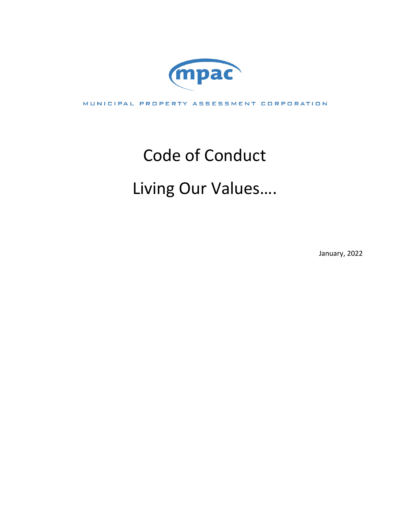

MUNICIPAL PROPERTY ASSESSMENT CORPORATION

# Code of Conduct

# Living Our Values….

January, 2022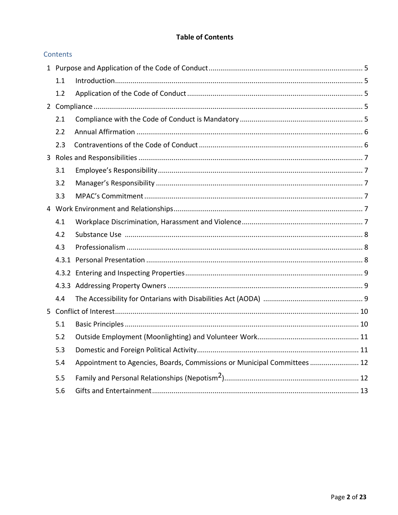# **Table of Contents**

|   | Contents |                                                                          |  |
|---|----------|--------------------------------------------------------------------------|--|
|   |          |                                                                          |  |
|   | 1.1      |                                                                          |  |
|   | 1.2      |                                                                          |  |
|   |          |                                                                          |  |
|   | 2.1      |                                                                          |  |
|   | 2.2      |                                                                          |  |
|   | 2.3      |                                                                          |  |
|   |          |                                                                          |  |
|   | 3.1      |                                                                          |  |
|   | 3.2      |                                                                          |  |
|   | 3.3      |                                                                          |  |
|   |          |                                                                          |  |
|   | 4.1      |                                                                          |  |
|   | 4.2      |                                                                          |  |
|   | 4.3      |                                                                          |  |
|   |          |                                                                          |  |
|   |          |                                                                          |  |
|   | 4.3.3    |                                                                          |  |
|   | 4.4      |                                                                          |  |
| 5 |          |                                                                          |  |
|   | 5.1      |                                                                          |  |
|   | 5.2      |                                                                          |  |
|   | 5.3      |                                                                          |  |
|   | 5.4      | Appointment to Agencies, Boards, Commissions or Municipal Committees  12 |  |
|   | 5.5      |                                                                          |  |
|   | 5.6      |                                                                          |  |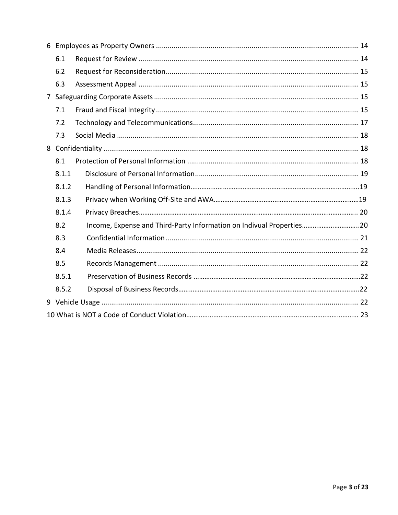| 6.1   |                                                                      |  |  |  |  |  |
|-------|----------------------------------------------------------------------|--|--|--|--|--|
| 6.2   |                                                                      |  |  |  |  |  |
| 6.3   |                                                                      |  |  |  |  |  |
|       |                                                                      |  |  |  |  |  |
| 7.1   |                                                                      |  |  |  |  |  |
| 7.2   |                                                                      |  |  |  |  |  |
| 7.3   |                                                                      |  |  |  |  |  |
|       |                                                                      |  |  |  |  |  |
| 8.1   |                                                                      |  |  |  |  |  |
| 8.1.1 |                                                                      |  |  |  |  |  |
| 8.1.2 |                                                                      |  |  |  |  |  |
| 8.1.3 |                                                                      |  |  |  |  |  |
| 8.1.4 |                                                                      |  |  |  |  |  |
| 8.2   | Income, Expense and Third-Party Information on Indivual Properties20 |  |  |  |  |  |
| 8.3   |                                                                      |  |  |  |  |  |
| 8.4   |                                                                      |  |  |  |  |  |
| 8.5   |                                                                      |  |  |  |  |  |
| 8.5.1 |                                                                      |  |  |  |  |  |
| 8.5.2 |                                                                      |  |  |  |  |  |
|       |                                                                      |  |  |  |  |  |
|       |                                                                      |  |  |  |  |  |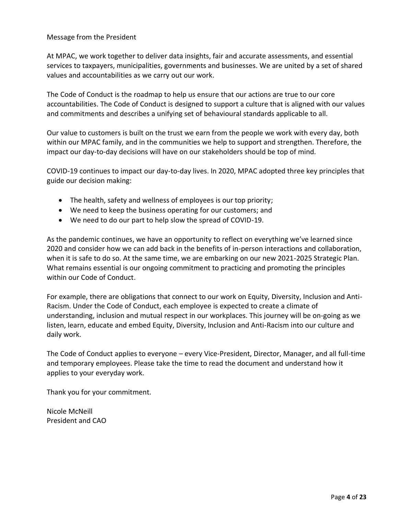#### Message from the President

At MPAC, we work together to deliver data insights, fair and accurate assessments, and essential services to taxpayers, municipalities, governments and businesses. We are united by a set of shared values and accountabilities as we carry out our work.

The Code of Conduct is the roadmap to help us ensure that our actions are true to our core accountabilities. The Code of Conduct is designed to support a culture that is aligned with our values and commitments and describes a unifying set of behavioural standards applicable to all.

Our value to customers is built on the trust we earn from the people we work with every day, both within our MPAC family, and in the communities we help to support and strengthen. Therefore, the impact our day-to-day decisions will have on our stakeholders should be top of mind.

COVID-19 continues to impact our day-to-day lives. In 2020, MPAC adopted three key principles that guide our decision making:

- The health, safety and wellness of employees is our top priority;
- We need to keep the business operating for our customers; and
- We need to do our part to help slow the spread of COVID-19.

As the pandemic continues, we have an opportunity to reflect on everything we've learned since 2020 and consider how we can add back in the benefits of in-person interactions and collaboration, when it is safe to do so. At the same time, we are embarking on our new 2021-2025 Strategic Plan. What remains essential is our ongoing commitment to practicing and promoting the principles within our Code of Conduct.

For example, there are obligations that connect to our work on Equity, Diversity, Inclusion and Anti-Racism. Under the Code of Conduct, each employee is expected to create a climate of understanding, inclusion and mutual respect in our workplaces. This journey will be on-going as we listen, learn, educate and embed Equity, Diversity, Inclusion and Anti-Racism into our culture and daily work.

The Code of Conduct applies to everyone – every Vice-President, Director, Manager, and all full-time and temporary employees. Please take the time to read the document and understand how it applies to your everyday work.

Thank you for your commitment.

Nicole McNeill President and CAO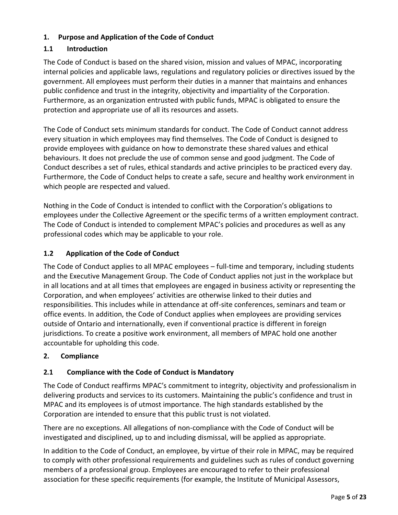# <span id="page-4-1"></span><span id="page-4-0"></span>**1. Purpose and Application of the Code of Conduct**

# **1.1 Introduction**

The Code of Conduct is based on the shared vision, mission and values of MPAC, incorporating internal policies and applicable laws, regulations and regulatory policies or directives issued by the government. All employees must perform their duties in a manner that maintains and enhances public confidence and trust in the integrity, objectivity and impartiality of the Corporation. Furthermore, as an organization entrusted with public funds, MPAC is obligated to ensure the protection and appropriate use of all its resources and assets.

The Code of Conduct sets minimum standards for conduct. The Code of Conduct cannot address every situation in which employees may find themselves. The Code of Conduct is designed to provide employees with guidance on how to demonstrate these shared values and ethical behaviours. It does not preclude the use of common sense and good judgment. The Code of Conduct describes a set of rules, ethical standards and active principles to be practiced every day. Furthermore, the Code of Conduct helps to create a safe, secure and healthy work environment in which people are respected and valued.

Nothing in the Code of Conduct is intended to conflict with the Corporation's obligations to employees under the Collective Agreement or the specific terms of a written employment contract. The Code of Conduct is intended to complement MPAC's policies and procedures as well as any professional codes which may be applicable to your role.

# <span id="page-4-2"></span>**1.2 Application of the Code of Conduct**

The Code of Conduct applies to all MPAC employees – full-time and temporary, including students and the Executive Management Group. The Code of Conduct applies not just in the workplace but in all locations and at all times that employees are engaged in business activity or representing the Corporation, and when employees' activities are otherwise linked to their duties and responsibilities. This includes while in attendance at off-site conferences, seminars and team or office events. In addition, the Code of Conduct applies when employees are providing services outside of Ontario and internationally, even if conventional practice is different in foreign jurisdictions. To create a positive work environment, all members of MPAC hold one another accountable for upholding this code.

# <span id="page-4-3"></span>**2. Compliance**

# <span id="page-4-4"></span>**2.1 Compliance with the Code of Conduct is Mandatory**

The Code of Conduct reaffirms MPAC's commitment to integrity, objectivity and professionalism in delivering products and services to its customers. Maintaining the public's confidence and trust in MPAC and its employees is of utmost importance. The high standards established by the Corporation are intended to ensure that this public trust is not violated.

There are no exceptions. All allegations of non-compliance with the Code of Conduct will be investigated and disciplined, up to and including dismissal, will be applied as appropriate.

In addition to the Code of Conduct, an employee, by virtue of their role in MPAC, may be required to comply with other professional requirements and guidelines such as rules of conduct governing members of a professional group. Employees are encouraged to refer to their professional association for these specific requirements (for example, the Institute of Municipal Assessors,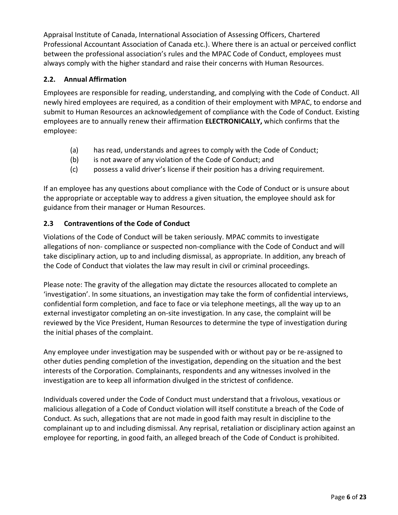Appraisal Institute of Canada, International Association of Assessing Officers, Chartered Professional Accountant Association of Canada etc.). Where there is an actual or perceived conflict between the professional association's rules and the MPAC Code of Conduct, employees must always comply with the higher standard and raise their concerns with Human Resources.

# <span id="page-5-0"></span>**2.2. Annual Affirmation**

Employees are responsible for reading, understanding, and complying with the Code of Conduct. All newly hired employees are required, as a condition of their employment with MPAC, to endorse and submit to Human Resources an acknowledgement of compliance with the Code of Conduct. Existing employees are to annually renew their affirmation **ELECTRONICALLY,** which confirms that the employee:

- (a) has read, understands and agrees to comply with the Code of Conduct;
- (b) is not aware of any violation of the Code of Conduct; and
- (c) possess a valid driver's license if their position has a driving requirement.

If an employee has any questions about compliance with the Code of Conduct or is unsure about the appropriate or acceptable way to address a given situation, the employee should ask for guidance from their manager or Human Resources.

# <span id="page-5-1"></span>**2.3 Contraventions of the Code of Conduct**

Violations of the Code of Conduct will be taken seriously. MPAC commits to investigate allegations of non- compliance or suspected non-compliance with the Code of Conduct and will take disciplinary action, up to and including dismissal, as appropriate. In addition, any breach of the Code of Conduct that violates the law may result in civil or criminal proceedings.

Please note: The gravity of the allegation may dictate the resources allocated to complete an 'investigation'. In some situations, an investigation may take the form of confidential interviews, confidential form completion, and face to face or via telephone meetings, all the way up to an external investigator completing an on-site investigation. In any case, the complaint will be reviewed by the Vice President, Human Resources to determine the type of investigation during the initial phases of the complaint.

Any employee under investigation may be suspended with or without pay or be re-assigned to other duties pending completion of the investigation, depending on the situation and the best interests of the Corporation. Complainants, respondents and any witnesses involved in the investigation are to keep all information divulged in the strictest of confidence.

Individuals covered under the Code of Conduct must understand that a frivolous, vexatious or malicious allegation of a Code of Conduct violation will itself constitute a breach of the Code of Conduct. As such, allegations that are not made in good faith may result in discipline to the complainant up to and including dismissal. Any reprisal, retaliation or disciplinary action against an employee for reporting, in good faith, an alleged breach of the Code of Conduct is prohibited.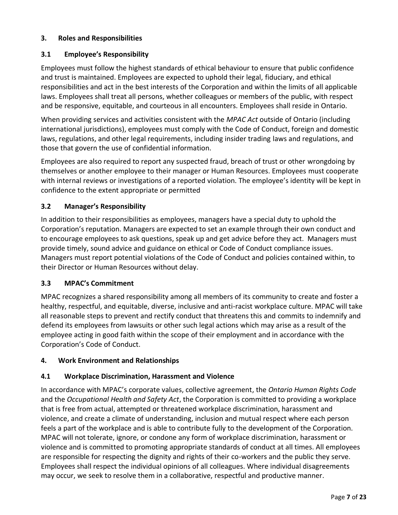# <span id="page-6-0"></span>**3. Roles and Responsibilities**

# <span id="page-6-1"></span>**3.1 Employee's Responsibility**

Employees must follow the highest standards of ethical behaviour to ensure that public confidence and trust is maintained. Employees are expected to uphold their legal, fiduciary, and ethical responsibilities and act in the best interests of the Corporation and within the limits of all applicable laws. Employees shall treat all persons, whether colleagues or members of the public, with respect and be responsive, equitable, and courteous in all encounters. Employees shall reside in Ontario.

When providing services and activities consistent with the *MPAC Act* outside of Ontario (including international jurisdictions), employees must comply with the Code of Conduct, foreign and domestic laws, regulations, and other legal requirements, including insider trading laws and regulations, and those that govern the use of confidential information.

Employees are also required to report any suspected fraud, breach of trust or other wrongdoing by themselves or another employee to their manager or Human Resources. Employees must cooperate with internal reviews or investigations of a reported violation. The employee's identity will be kept in confidence to the extent appropriate or permitted

# <span id="page-6-2"></span>**3.2 Manager's Responsibility**

In addition to their responsibilities as employees, managers have a special duty to uphold the Corporation's reputation. Managers are expected to set an example through their own conduct and to encourage employees to ask questions, speak up and get advice before they act. Managers must provide timely, sound advice and guidance on ethical or Code of Conduct compliance issues. Managers must report potential violations of the Code of Conduct and policies contained within, to their Director or Human Resources without delay.

# <span id="page-6-3"></span>**3.3 MPAC's Commitment**

MPAC recognizes a shared responsibility among all members of its community to create and foster a healthy, respectful, and equitable, diverse, inclusive and anti-racist workplace culture. MPAC will take all reasonable steps to prevent and rectify conduct that threatens this and commits to indemnify and defend its employees from lawsuits or other such legal actions which may arise as a result of the employee acting in good faith within the scope of their employment and in accordance with the Corporation's Code of Conduct.

# <span id="page-6-4"></span>**4. Work Environment and Relationships**

# <span id="page-6-5"></span>**4.1 Workplace Discrimination, Harassment and Violence**

In accordance with MPAC's corporate values, collective agreement, the *Ontario Human Rights Code*  and the *Occupational Health and Safety Act*, the Corporation is committed to providing a workplace that is free from actual, attempted or threatened workplace discrimination, harassment and violence, and create a climate of understanding, inclusion and mutual respect where each person feels a part of the workplace and is able to contribute fully to the development of the Corporation. MPAC will not tolerate, ignore, or condone any form of workplace discrimination, harassment or violence and is committed to promoting appropriate standards of conduct at all times. All employees are responsible for respecting the dignity and rights of their co-workers and the public they serve. Employees shall respect the individual opinions of all colleagues. Where individual disagreements may occur, we seek to resolve them in a collaborative, respectful and productive manner.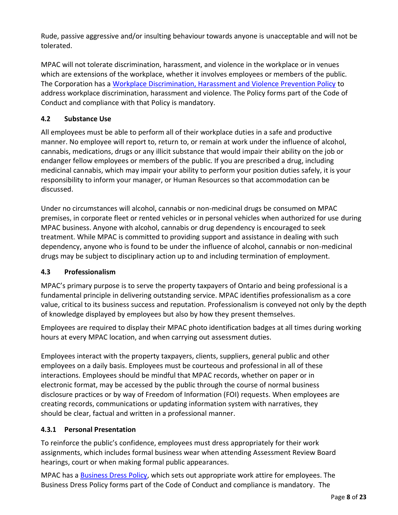Rude, passive aggressive and/or insulting behaviour towards anyone is unacceptable and will not be tolerated.

MPAC will not tolerate discrimination, harassment, and violence in the workplace or in venues which are extensions of the workplace, whether it involves employees or members of the public. The Corporation has a Workplace Discrimination, Harassment and Violence Prevention Policy to address workplace discrimination, harassment and violence. The Policy forms part of the Code of Conduct and compliance with that Policy is mandatory.

# <span id="page-7-0"></span>**4.2 Substance Use**

All employees must be able to perform all of their workplace duties in a safe and productive manner. No employee will report to, return to, or remain at work under the influence of alcohol, cannabis, medications, drugs or any illicit substance that would impair their ability on the job or endanger fellow employees or members of the public. If you are prescribed a drug, including medicinal cannabis, which may impair your ability to perform your position duties safely, it is your responsibility to inform your manager, or Human Resources so that accommodation can be discussed.

Under no circumstances will alcohol, cannabis or non-medicinal drugs be consumed on MPAC premises, in corporate fleet or rented vehicles or in personal vehicles when authorized for use during MPAC business. Anyone with alcohol, cannabis or drug dependency is encouraged to seek treatment. While MPAC is committed to providing support and assistance in dealing with such dependency, anyone who is found to be under the influence of alcohol, cannabis or non-medicinal drugs may be subject to disciplinary action up to and including termination of employment.

# <span id="page-7-1"></span>**4.3 Professionalism**

MPAC's primary purpose is to serve the property taxpayers of Ontario and being professional is a fundamental principle in delivering outstanding service. MPAC identifies professionalism as a core value, critical to its business success and reputation. Professionalism is conveyed not only by the depth of knowledge displayed by employees but also by how they present themselves.

Employees are required to display their MPAC photo identification badges at all times during working hours at every MPAC location, and when carrying out assessment duties.

Employees interact with the property taxpayers, clients, suppliers, general public and other employees on a daily basis. Employees must be courteous and professional in all of these interactions. Employees should be mindful that MPAC records, whether on paper or in electronic format, may be accessed by the public through the course of normal business disclosure practices or by way of Freedom of Information (FOI) requests. When employees are creating records, communications or updating information system with narratives, they should be clear, factual and written in a professional manner.

# <span id="page-7-2"></span>**4.3.1 Personal Presentation**

To reinforce the public's confidence, employees must dress appropriately for their work assignments, which includes formal business wear when attending Assessment Review Board hearings, court or when making formal public appearances.

MPAC has a **Business Dress Policy**, which sets out appropriate work attire for employees. The Business Dress Policy forms part of the Code of Conduct and compliance is mandatory. The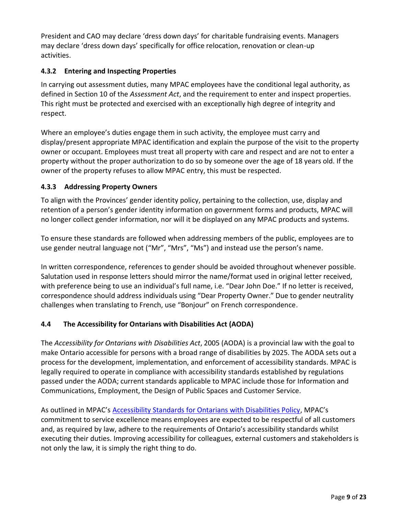President and CAO may declare 'dress down days' for charitable fundraising events. Managers may declare 'dress down days' specifically for office relocation, renovation or clean-up activities.

# <span id="page-8-0"></span>**4.3.2 Entering and Inspecting Properties**

In carrying out assessment duties, many MPAC employees have the conditional legal authority, as defined in Section 10 of the *Assessment Act*, and the requirement to enter and inspect properties. This right must be protected and exercised with an exceptionally high degree of integrity and respect.

Where an employee's duties engage them in such activity, the employee must carry and display/present appropriate MPAC identification and explain the purpose of the visit to the property owner or occupant. Employees must treat all property with care and respect and are not to enter a property without the proper authorization to do so by someone over the age of 18 years old. If the owner of the property refuses to allow MPAC entry, this must be respected.

# <span id="page-8-1"></span>**4.3.3 Addressing Property Owners**

To align with the Provinces' gender identity policy, pertaining to the collection, use, display and retention of a person's gender identity information on government forms and products, MPAC will no longer collect gender information, nor will it be displayed on any MPAC products and systems.

To ensure these standards are followed when addressing members of the public, employees are to use gender neutral language not ("Mr", "Mrs", "Ms") and instead use the person's name.

In written correspondence, references to gender should be avoided throughout whenever possible. Salutation used in response letters should mirror the name/format used in original letter received, with preference being to use an individual's full name, i.e. "Dear John Doe." If no letter is received, correspondence should address individuals using "Dear Property Owner." Due to gender neutrality challenges when translating to French, use "Bonjour" on French correspondence.

# <span id="page-8-2"></span>**4.4 The Accessibility for Ontarians with Disabilities Act (AODA)**

The *Accessibility for Ontarians with Disabilities Act*, 2005 (AODA) is a provincial law with the goal to make Ontario accessible for persons with a broad range of disabilities by 2025. The AODA sets out a process for the development, implementation, and enforcement of accessibility standards. MPAC is legally required to operate in compliance with accessibility standards established by regulations passed under the AODA; current standards applicable to MPAC include those for Information and Communications, Employment, the Design of Public Spaces and Customer Service.

As outlined in MPAC's Accessibility Standards for Ontarians with Disabilities Policy, MPAC's commitment to service excellence means employees are expected to be respectful of all customers and, as required by law, adhere to the requirements of Ontario's accessibility standards whilst executing their duties. Improving accessibility for colleagues, external customers and stakeholders is not only the law, it is simply the right thing to do.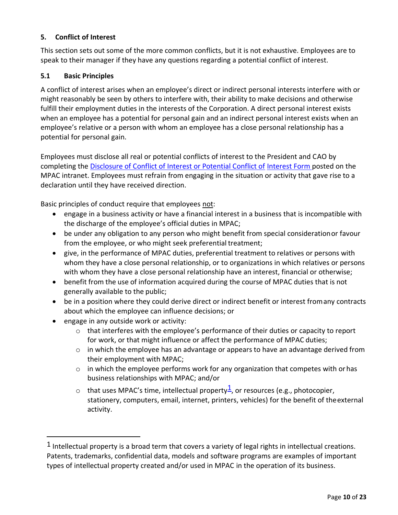#### <span id="page-9-0"></span>**5. Conflict of Interest**

This section sets out some of the more common conflicts, but it is not exhaustive. Employees are to speak to their manager if they have any questions regarding a potential conflict of interest.

#### <span id="page-9-1"></span>**5.1 Basic Principles**

A conflict of interest arises when an employee's direct or indirect personal interests interfere with or might reasonably be seen by others to interfere with, their ability to make decisions and otherwise fulfill their employment duties in the interests of the Corporation. A direct personal interest exists when an employee has a potential for personal gain and an indirect personal interest exists when an employee's relative or a person with whom an employee has a close personal relationship has a potential for personal gain.

Employees must disclose all real or potential conflicts of interest to the President and CAO by completing the Disclosure of Conflict of Interest or Potential Conflict of [Interest Form p](http://mpac/sites/default/files/imce/article/Departments/92/docs/DisclosureConflictInterestOrPotential2014V3.pdf)osted on the MPAC intranet. Employees must refrain from engaging in the situation or activity that gave rise to a declaration until they have received direction.

Basic principles of conduct require that employees not:

- engage in a business activity or have a financial interest in a business that is incompatible with the discharge of the employee's official duties in MPAC;
- be under any obligation to any person who might benefit from special considerationor favour from the employee, or who might seek preferential treatment;
- give, in the performance of MPAC duties, preferential treatment to relatives or persons with whom they have a close personal relationship, or to organizations in which relatives or persons with whom they have a close personal relationship have an interest, financial or otherwise;
- benefit from the use of information acquired during the course of MPAC duties that is not generally available to the public;
- be in a position where they could derive direct or indirect benefit or interest fromany contracts about which the employee can influence decisions; or
- engage in any outside work or activity:
	- $\circ$  that interferes with the employee's performance of their duties or capacity to report for work, or that might influence or affect the performance of MPAC duties;
	- $\circ$  in which the employee has an advantage or appears to have an advantage derived from their employment with MPAC;
	- $\circ$  in which the employee performs work for any organization that competes with or has business relationships with MPAC; and/or
	- $\circ$  that uses MPAC's time, intellectual property $\frac{1}{2}$ , or resources (e.g., photocopier, stationery, computers, email, internet, printers, vehicles) for the benefit of theexternal activity.

<span id="page-9-2"></span><sup>&</sup>lt;sup>1</sup> Intellectual property is a broad term that covers a variety of legal rights in intellectual creations. Patents, trademarks, confidential data, models and software programs are examples of important types of intellectual property created and/or used in MPAC in the operation of its business.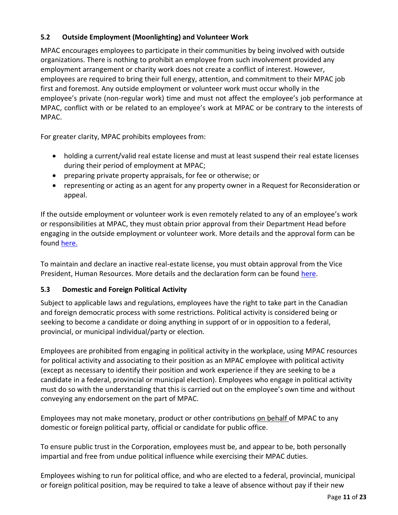# <span id="page-10-0"></span>**5.2 Outside Employment (Moonlighting) and Volunteer Work**

MPAC encourages employees to participate in their communities by being involved with outside organizations. There is nothing to prohibit an employee from such involvement provided any employment arrangement or charity work does not create a conflict of interest. However, employees are required to bring their full energy, attention, and commitment to their MPAC job first and foremost. Any outside employment or volunteer work must occur wholly in the employee's private (non-regular work) time and must not affect the employee's job performance at MPAC, conflict with or be related to an employee's work at MPAC or be contrary to the interests of MPAC.

For greater clarity, MPAC prohibits employees from:

- holding a current/valid real estate license and must at least suspend their real estate licenses during their period of employment at MPAC;
- preparing private property appraisals, for fee or otherwise; or
- representing or acting as an agent for any property owner in a Request for Reconsideration or appeal.

If the outside employment or volunteer work is even remotely related to any of an employee's work or responsibilities at MPAC, they must obtain prior approval from their Department Head before engaging in the outside employment or volunteer work. More details and the approval form can be found here.

To maintain and declare an inactive real-estate license, you must obtain approval from the Vice President, Human Resources. More details and the declaration form can be found here.

# <span id="page-10-1"></span>**5.3 Domestic and Foreign Political Activity**

Subject to applicable laws and regulations, employees have the right to take part in the Canadian and foreign democratic process with some restrictions. Political activity is considered being or seeking to become a candidate or doing anything in support of or in opposition to a federal, provincial, or municipal individual/party or election.

Employees are prohibited from engaging in political activity in the workplace, using MPAC resources for political activity and associating to their position as an MPAC employee with political activity (except as necessary to identify their position and work experience if they are seeking to be a candidate in a federal, provincial or municipal election). Employees who engage in political activity must do so with the understanding that this is carried out on the employee's own time and without conveying any endorsement on the part of MPAC.

Employees may not make monetary, product or other contributions on behalf of MPAC to any domestic or foreign political party, official or candidate for public office.

To ensure public trust in the Corporation, employees must be, and appear to be, both personally impartial and free from undue political influence while exercising their MPAC duties.

Employees wishing to run for political office, and who are elected to a federal, provincial, municipal or foreign political position, may be required to take a leave of absence without pay if their new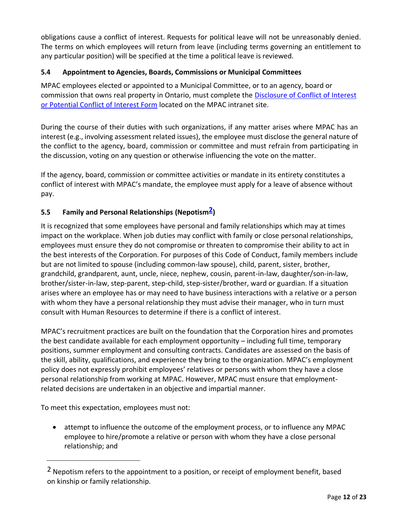obligations cause a conflict of interest. Requests for political leave will not be unreasonably denied. The terms on which employees will return from leave (including terms governing an entitlement to any particular position) will be specified at the time a political leave is reviewed.

# <span id="page-11-0"></span>**5.4 Appointment to Agencies, Boards, Commissions or Municipal Committees**

MPAC employees elected or appointed to a Municipal Committee, or to an agency, board or commission that owns real property in Ontario, must complete the Disclosure of Conflict of Interest or Potential Conflict of Interest Form located on the MPAC intranet site.

During the course of their duties with such organizations, if any matter arises where MPAC has an interest (e.g., involving assessment related issues), the employee must disclose the general nature of the conflict to the agency, board, commission or committee and must refrain from participating in the discussion, voting on any question or otherwise influencing the vote on the matter.

If the agency, board, commission or committee activities or mandate in its entirety constitutes a conflict of interest with MPAC's mandate, the employee must apply for a leave of absence without pay.

# <span id="page-11-1"></span>**5.5 Family and Personal Relationships (Nepotism2)**

It is recognized that some employees have personal and family relationships which may at times impact on the workplace. When job duties may conflict with family or close personal relationships, employees must ensure they do not compromise or threaten to compromise their ability to act in the best interests of the Corporation. For purposes of this Code of Conduct, family members include but are not limited to spouse (including common-law spouse), child, parent, sister, brother, grandchild, grandparent, aunt, uncle, niece, nephew, cousin, parent-in-law, daughter/son-in-law, brother/sister-in-law, step-parent, step-child, step-sister/brother, ward or guardian. If a situation arises where an employee has or may need to have business interactions with a relative or a person with whom they have a personal relationship they must advise their manager, who in turn must consult with Human Resources to determine if there is a conflict of interest.

MPAC's recruitment practices are built on the foundation that the Corporation hires and promotes the best candidate available for each employment opportunity – including full time, temporary positions, summer employment and consulting contracts. Candidates are assessed on the basis of the skill, ability, qualifications, and experience they bring to the organization. MPAC's employment policy does not expressly prohibit employees' relatives or persons with whom they have a close personal relationship from working at MPAC. However, MPAC must ensure that employmentrelated decisions are undertaken in an objective and impartial manner.

To meet this expectation, employees must not:

• attempt to influence the outcome of the employment process, or to influence any MPAC employee to hire/promote a relative or person with whom they have a close personal relationship; and

<sup>2</sup> Nepotism refers to the appointment to a position, or receipt of employment benefit, based on kinship or family relationship.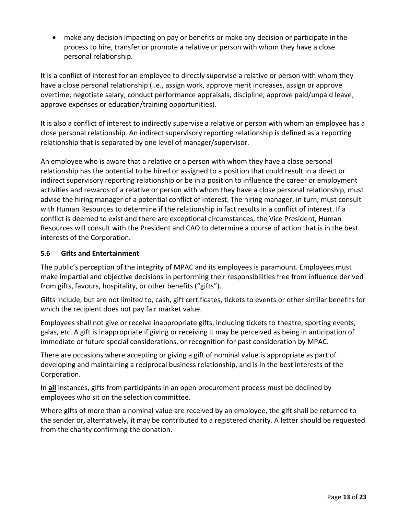• make any decision impacting on pay or benefits or make any decision or participate in the process to hire, transfer or promote a relative or person with whom they have a close personal relationship.

It is a conflict of interest for an employee to directly supervise a relative or person with whom they have a close personal relationship (i.e., assign work, approve merit increases, assign or approve overtime, negotiate salary, conduct performance appraisals, discipline, approve paid/unpaid leave, approve expenses or education/training opportunities).

It is also a conflict of interest to indirectly supervise a relative or person with whom an employee has a close personal relationship. An indirect supervisory reporting relationship is defined as a reporting relationship that is separated by one level of manager/supervisor.

An employee who is aware that a relative or a person with whom they have a close personal relationship has the potential to be hired or assigned to a position that could result in a direct or indirect supervisory reporting relationship or be in a position to influence the career or employment activities and rewards of a relative or person with whom they have a close personal relationship, must advise the hiring manager of a potential conflict of interest. The hiring manager, in turn, must consult with Human Resources to determine if the relationship in fact results in a conflict of interest. If a conflict is deemed to exist and there are exceptional circumstances, the Vice President, Human Resources will consult with the President and CAO to determine a course of action that is in the best interests of the Corporation.

# <span id="page-12-0"></span>**5.6 Gifts and Entertainment**

The public's perception of the integrity of MPAC and its employees is paramount. Employees must make impartial and objective decisions in performing their responsibilities free from influence derived from gifts, favours, hospitality, or other benefits ("gifts").

Gifts include, but are not limited to, cash, gift certificates, tickets to events or other similar benefits for which the recipient does not pay fair market value.

Employees shall not give or receive inappropriate gifts, including tickets to theatre, sporting events, galas, etc. A gift is inappropriate if giving or receiving it may be perceived as being in anticipation of immediate or future special considerations, or recognition for past consideration by MPAC.

There are occasions where accepting or giving a gift of nominal value is appropriate as part of developing and maintaining a reciprocal business relationship, and is in the best interests of the Corporation.

In **all** instances, gifts from participants in an open procurement process must be declined by employees who sit on the selection committee.

Where gifts of more than a nominal value are received by an employee, the gift shall be returned to the sender or, alternatively, it may be contributed to a registered charity. A letter should be requested from the charity confirming the donation.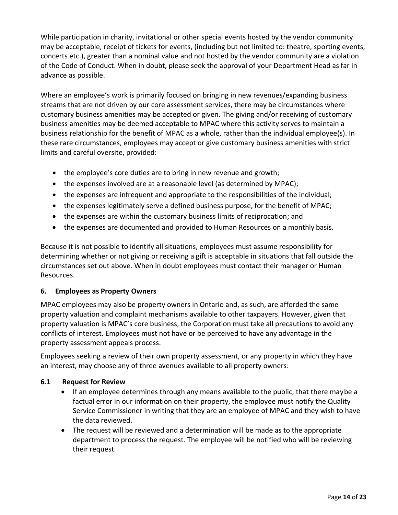While participation in charity, invitational or other special events hosted by the vendor community may be acceptable, receipt of tickets for events, (including but not limited to: theatre, sporting events, concerts etc.), greater than a nominal value and not hosted by the vendor community are a violation of the Code of Conduct. When in doubt, please seek the approval of your Department Head as far in advance as possible.

Where an employee's work is primarily focused on bringing in new revenues/expanding business streams that are not driven by our core assessment services, there may be circumstances where customary business amenities may be accepted or given. The giving and/or receiving of customary business amenities may be deemed acceptable to MPAC where this activity serves to maintain a business relationship for the benefit of MPAC as a whole, rather than the individual employee(s). In these rare circumstances, employees may accept or give customary business amenities with strict limits and careful oversite, provided:

- the employee's core duties are to bring in new revenue and growth;
- the expenses involved are at a reasonable level (as determined by MPAC);
- the expenses are infrequent and appropriate to the responsibilities of the individual;
- the expenses legitimately serve a defined business purpose, for the benefit of MPAC;
- the expenses are within the customary business limits of reciprocation; and
- the expenses are documented and provided to Human Resources on a monthly basis.

Because it is not possible to identify all situations, employees must assume responsibility for determining whether or not giving or receiving a gift is acceptable in situations that fall outside the circumstances set out above. When in doubt employees must contact their manager or Human Resources.

# <span id="page-13-0"></span>**6. Employees as Property Owners**

MPAC employees may also be property owners in Ontario and, as such, are afforded the same property valuation and complaint mechanisms available to other taxpayers. However, given that property valuation is MPAC's core business, the Corporation must take all precautions to avoid any conflicts of interest. Employees must not have or be perceived to have any advantage in the property assessment appeals process.

Employees seeking a review of their own property assessment, or any property in which they have an interest, may choose any of three avenues available to all property owners:

# <span id="page-13-1"></span>**6.1 Request for Review**

- If an employee determines through any means available to the public, that there maybe a factual error in our information on their property, the employee must notify the Quality Service Commissioner in writing that they are an employee of MPAC and they wish to have the data reviewed.
- The request will be reviewed and a determination will be made as to the appropriate department to process the request. The employee will be notified who will be reviewing their request.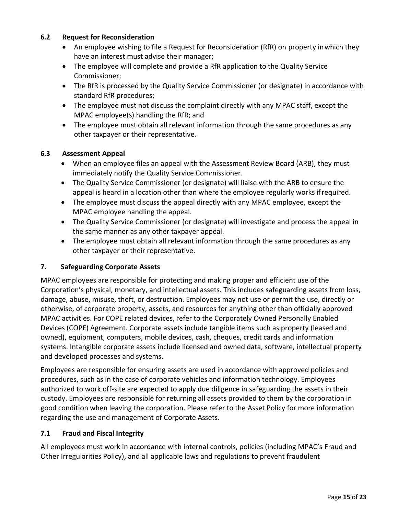#### <span id="page-14-0"></span>**6.2 Request for Reconsideration**

- An employee wishing to file a Request for Reconsideration (RfR) on property in which they have an interest must advise their manager;
- The employee will complete and provide a RfR application to the Quality Service Commissioner;
- The RfR is processed by the Quality Service Commissioner (or designate) in accordance with standard RfR procedures;
- The employee must not discuss the complaint directly with any MPAC staff, except the MPAC employee(s) handling the RfR; and
- The employee must obtain all relevant information through the same procedures as any other taxpayer or their representative.

# <span id="page-14-1"></span>**6.3 Assessment Appeal**

- When an employee files an appeal with the Assessment Review Board (ARB), they must immediately notify the Quality Service Commissioner.
- The Quality Service Commissioner (or designate) will liaise with the ARB to ensure the appeal is heard in a location other than where the employee regularly works ifrequired.
- The employee must discuss the appeal directly with any MPAC employee, except the MPAC employee handling the appeal.
- The Quality Service Commissioner (or designate) will investigate and process the appeal in the same manner as any other taxpayer appeal.
- The employee must obtain all relevant information through the same procedures as any other taxpayer or their representative.

# <span id="page-14-2"></span>**7. Safeguarding Corporate Assets**

MPAC employees are responsible for protecting and making proper and efficient use of the Corporation's physical, monetary, and intellectual assets. This includes safeguarding assets from loss, damage, abuse, misuse, theft, or destruction. Employees may not use or permit the use, directly or otherwise, of corporate property, assets, and resources for anything other than officially approved MPAC activities. For COPE related devices, refer to the Corporately Owned Personally Enabled Devices (COPE) Agreement. Corporate assets include tangible items such as property (leased and owned), equipment, computers, mobile devices, cash, cheques, credit cards and information systems. Intangible corporate assets include licensed and owned data, software, intellectual property and developed processes and systems.

Employees are responsible for ensuring assets are used in accordance with approved policies and procedures, such as in the case of corporate vehicles and information technology. Employees authorized to work off-site are expected to apply due diligence in safeguarding the assets in their custody. Employees are responsible for returning all assets provided to them by the corporation in good condition when leaving the corporation. Please refer to the Asset Policy for more information regarding the use and management of Corporate Assets.

# <span id="page-14-3"></span>**7.1 Fraud and Fiscal Integrity**

All employees must work in accordance with internal controls, policies (including MPAC's Fraud and Other Irregularities Policy), and all applicable laws and regulations to prevent fraudulent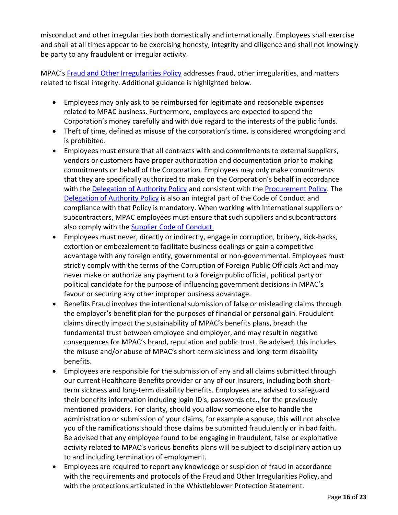misconduct and other irregularities both domestically and internationally. Employees shall exercise and shall at all times appear to be exercising honesty, integrity and diligence and shall not knowingly be party to any fraudulent or irregular activity.

MPAC's Fraud and Other Irregularities Policy addresses fraud, other irregularities, and matters related to fiscal integrity. Additional guidance is highlighted below.

- Employees may only ask to be reimbursed for legitimate and reasonable expenses related to MPAC business. Furthermore, employees are expected to spend the Corporation's money carefully and with due regard to the interests of the public funds.
- Theft of time, defined as misuse of the corporation's time, is considered wrongdoing and is prohibited.
- Employees must ensure that all contracts with and commitments to external suppliers, vendors or customers have proper authorization and documentation prior to making commitments on behalf of the Corporation. Employees may only make commitments that they are specifically authorized to make on the Corporation's behalf in accordance with the Delegation of Authority Policy and consistent with the Procurement Policy. The Delegation of Authority Policy is also an integral part of the Code of Conduct and compliance with that Policy is mandatory. When working with international suppliers or subcontractors, MPAC employees must ensure that such suppliers and subcontractors also comply with the Supplier Code of Conduct.
- Employees must never, directly or indirectly, engage in corruption, bribery, kick-backs, extortion or embezzlement to facilitate business dealings or gain a competitive advantage with any foreign entity, governmental or non-governmental. Employees must strictly comply with the terms of the Corruption of Foreign Public Officials Act and may never make or authorize any payment to a foreign public official, political party or political candidate for the purpose of influencing government decisions in MPAC's favour or securing any other improper business advantage.
- Benefits Fraud involves the intentional submission of false or misleading claims through the employer's benefit plan for the purposes of financial or personal gain. Fraudulent claims directly impact the sustainability of MPAC's benefits plans, breach the fundamental trust between employee and employer, and may result in negative consequences for MPAC's brand, reputation and public trust. Be advised, this includes the misuse and/or abuse of MPAC's short-term sickness and long-term disability benefits.
- Employees are responsible for the submission of any and all claims submitted through our current Healthcare Benefits provider or any of our Insurers, including both shortterm sickness and long-term disability benefits. Employees are advised to safeguard their benefits information including login ID's, passwords etc., for the previously mentioned providers. For clarity, should you allow someone else to handle the administration or submission of your claims, for example a spouse, this will not absolve you of the ramifications should those claims be submitted fraudulently or in bad faith. Be advised that any employee found to be engaging in fraudulent, false or exploitative activity related to MPAC's various benefits plans will be subject to disciplinary action up to and including termination of employment.
- Employees are required to report any knowledge or suspicion of fraud in accordance with the requirements and protocols of the Fraud and Other Irregularities Policy, and with the protections articulated in the Whistleblower Protection Statement.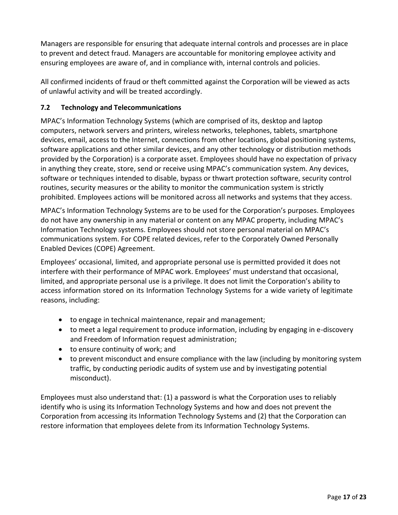Managers are responsible for ensuring that adequate internal controls and processes are in place to prevent and detect fraud. Managers are accountable for monitoring employee activity and ensuring employees are aware of, and in compliance with, internal controls and policies.

All confirmed incidents of fraud or theft committed against the Corporation will be viewed as acts of unlawful activity and will be treated accordingly.

# <span id="page-16-0"></span>**7.2 Technology and Telecommunications**

MPAC's Information Technology Systems (which are comprised of its, desktop and laptop computers, network servers and printers, wireless networks, telephones, tablets, smartphone devices, email, access to the Internet, connections from other locations, global positioning systems, software applications and other similar devices, and any other technology or distribution methods provided by the Corporation) is a corporate asset. Employees should have no expectation of privacy in anything they create, store, send or receive using MPAC's communication system. Any devices, software or techniques intended to disable, bypass or thwart protection software, security control routines, security measures or the ability to monitor the communication system is strictly prohibited. Employees actions will be monitored across all networks and systems that they access.

MPAC's Information Technology Systems are to be used for the Corporation's purposes. Employees do not have any ownership in any material or content on any MPAC property, including MPAC's Information Technology systems. Employees should not store personal material on MPAC's communications system. For COPE related devices, refer to the Corporately Owned Personally Enabled Devices (COPE) Agreement.

Employees' occasional, limited, and appropriate personal use is permitted provided it does not interfere with their performance of MPAC work. Employees' must understand that occasional, limited, and appropriate personal use is a privilege. It does not limit the Corporation's ability to access information stored on its Information Technology Systems for a wide variety of legitimate reasons, including:

- to engage in technical maintenance, repair and management;
- to meet a legal requirement to produce information, including by engaging in e-discovery and Freedom of Information request administration;
- to ensure continuity of work; and
- to prevent misconduct and ensure compliance with the law (including by monitoring system traffic, by conducting periodic audits of system use and by investigating potential misconduct).

Employees must also understand that: (1) a password is what the Corporation uses to reliably identify who is using its Information Technology Systems and how and does not prevent the Corporation from accessing its Information Technology Systems and (2) that the Corporation can restore information that employees delete from its Information Technology Systems.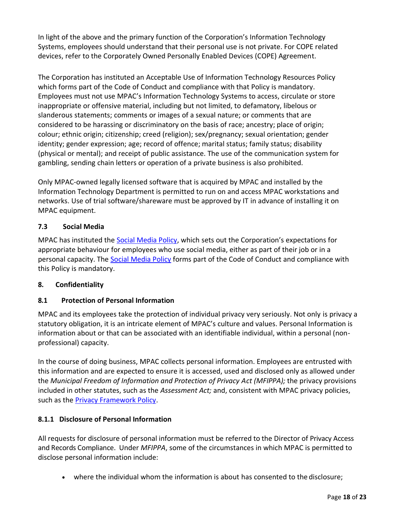In light of the above and the primary function of the Corporation's Information Technology Systems, employees should understand that their personal use is not private. For COPE related devices, refer to the Corporately Owned Personally Enabled Devices (COPE) Agreement.

The Corporation has instituted an Acceptable Use of Information Technology Resources Policy which forms part of the Code of Conduct and compliance with that Policy is mandatory. Employees must not use MPAC's Information Technology Systems to access, circulate or store inappropriate or offensive material, including but not limited, to defamatory, libelous or slanderous statements; comments or images of a sexual nature; or comments that are considered to be harassing or discriminatory on the basis of race; ancestry; place of origin; colour; ethnic origin; citizenship; creed (religion); sex/pregnancy; sexual orientation; gender identity; gender expression; age; record of offence; marital status; family status; disability (physical or mental); and receipt of public assistance. The use of the communication system for gambling, sending chain letters or operation of a private business is also prohibited.

Only MPAC-owned legally licensed software that is acquired by MPAC and installed by the Information Technology Department is permitted to run on and access MPAC workstations and networks. Use of trial software/shareware must be approved by IT in advance of installing it on MPAC equipment.

# <span id="page-17-0"></span>**7.3 Social Media**

MPAC has instituted the Social Media Policy, which sets out the Corporation's expectations for appropriate behaviour for employees who use social media, either as part of their job or in a personal capacity. The Social Media Policy forms part of the Code of Conduct and compliance with this Policy is mandatory.

# <span id="page-17-1"></span>**8. Confidentiality**

# <span id="page-17-2"></span>**8.1 Protection of Personal Information**

MPAC and its employees take the protection of individual privacy very seriously. Not only is privacy a statutory obligation, it is an intricate element of MPAC's culture and values. Personal Information is information about or that can be associated with an identifiable individual, within a personal (nonprofessional) capacity.

In the course of doing business, MPAC collects personal information. Employees are entrusted with this information and are expected to ensure it is accessed, used and disclosed only as allowed under the *Municipal Freedom of Information and Protection of Privacy Act (MFIPPA);* the privacy provisions included in other statutes, such as the *Assessment Act;* and, consistent with MPAC privacy policies, such as the Privacy Framework Policy.

# **8.1.1 Disclosure of Personal Information**

All requests for disclosure of personal information must be referred to the Director of Privacy Access and Records Compliance. Under *MFIPPA*, some of the circumstances in which MPAC is permitted to disclose personal information include:

• where the individual whom the information is about has consented to the disclosure;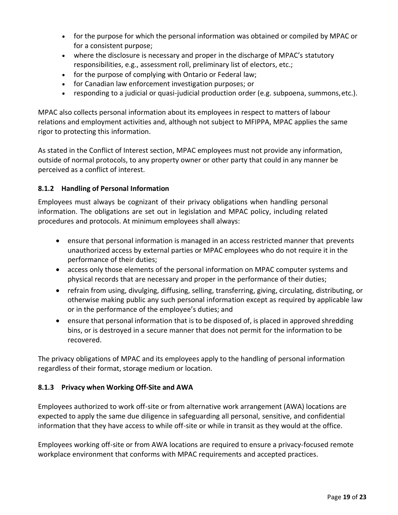- for the purpose for which the personal information was obtained or compiled by MPAC or for a consistent purpose;
- where the disclosure is necessary and proper in the discharge of MPAC's statutory responsibilities, e.g., assessment roll, preliminary list of electors, etc.;
- for the purpose of complying with Ontario or Federal law;
- for Canadian law enforcement investigation purposes; or
- responding to a judicial or quasi-judicial production order (e.g. subpoena, summons,etc.).

MPAC also collects personal information about its employees in respect to matters of labour relations and employment activities and, although not subject to MFIPPA, MPAC applies the same rigor to protecting this information.

<span id="page-18-0"></span>As stated in the Conflict of Interest section, MPAC employees must not provide any information, outside of normal protocols, to any property owner or other party that could in any manner be perceived as a conflict of interest.

# **8.1.2 Handling of Personal Information**

Employees must always be cognizant of their privacy obligations when handling personal information. The obligations are set out in legislation and MPAC policy, including related procedures and protocols. At minimum employees shall always:

- ensure that personal information is managed in an access restricted manner that prevents unauthorized access by external parties or MPAC employees who do not require it in the performance of their duties;
- access only those elements of the personal information on MPAC computer systems and physical records that are necessary and proper in the performance of their duties;
- refrain from using, divulging, diffusing, selling, transferring, giving, circulating, distributing, or otherwise making public any such personal information except as required by applicable law or in the performance of the employee's duties; and
- ensure that personal information that is to be disposed of, is placed in approved shredding bins, or is destroyed in a secure manner that does not permit for the information to be recovered.

The privacy obligations of MPAC and its employees apply to the handling of personal information regardless of their format, storage medium or location.

# **8.1.3 Privacy when Working Off-Site and AWA**

Employees authorized to work off-site or from alternative work arrangement (AWA) locations are expected to apply the same due diligence in safeguarding all personal, sensitive, and confidential information that they have access to while off-site or while in transit as they would at the office.

Employees working off-site or from AWA locations are required to ensure a privacy-focused remote workplace environment that conforms with MPAC requirements and accepted practices.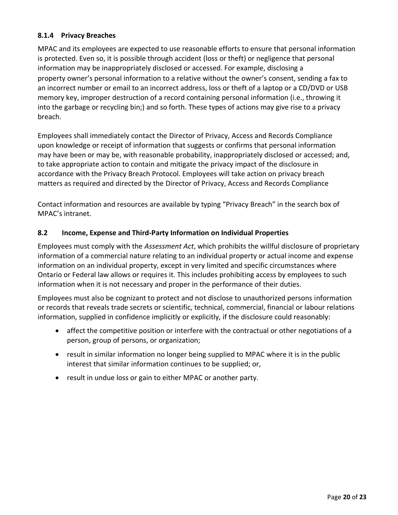# **8.1.4 Privacy Breaches**

MPAC and its employees are expected to use reasonable efforts to ensure that personal information is protected. Even so, it is possible through accident (loss or theft) or negligence that personal information may be inappropriately disclosed or accessed. For example, disclosing a property owner's personal information to a relative without the owner's consent, sending a fax to an incorrect number or email to an incorrect address, loss or theft of a laptop or a CD/DVD or USB memory key, improper destruction of a record containing personal information (i.e., throwing it into the garbage or recycling bin;) and so forth. These types of actions may give rise to a privacy breach.

Employees shall immediately contact the Director of Privacy, Access and Records Compliance upon knowledge or receipt of information that suggests or confirms that personal information may have been or may be, with reasonable probability, inappropriately disclosed or accessed; and, to take appropriate action to contain and mitigate the privacy impact of the disclosure in accordance with the Privacy Breach Protocol. Employees will take action on privacy breach matters as required and directed by the Director of Privacy, Access and Records Compliance

Contact information and resources are available by typing "Privacy Breach" in the search box of MPAC's intranet.

# **8.2 Income, Expense and Third-Party Information on Individual Properties**

Employees must comply with the *Assessment Act*, which prohibits the willful disclosure of proprietary information of a commercial nature relating to an individual property or actual income and expense information on an individual property, except in very limited and specific circumstances where Ontario or Federal law allows or requires it. This includes prohibiting access by employees to such information when it is not necessary and proper in the performance of their duties.

Employees must also be cognizant to protect and not disclose to unauthorized persons information or records that reveals trade secrets or scientific, technical, commercial, financial or labour relations information, supplied in confidence implicitly or explicitly, if the disclosure could reasonably:

- affect the competitive position or interfere with the contractual or other negotiations of a person, group of persons, or organization;
- result in similar information no longer being supplied to MPAC where it is in the public interest that similar information continues to be supplied; or,
- result in undue loss or gain to either MPAC or another party.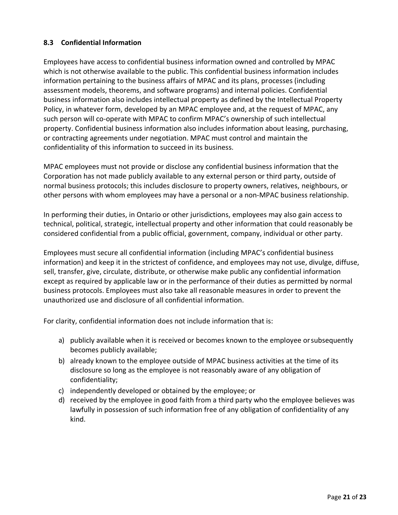# <span id="page-20-0"></span>**8.3 Confidential Information**

Employees have access to confidential business information owned and controlled by MPAC which is not otherwise available to the public. This confidential business information includes information pertaining to the business affairs of MPAC and its plans, processes (including assessment models, theorems, and software programs) and internal policies. Confidential business information also includes intellectual property as defined by the Intellectual Property Policy, in whatever form, developed by an MPAC employee and, at the request of MPAC, any such person will co-operate with MPAC to confirm MPAC's ownership of such intellectual property. Confidential business information also includes information about leasing, purchasing, or contracting agreements under negotiation. MPAC must control and maintain the confidentiality of this information to succeed in its business.

MPAC employees must not provide or disclose any confidential business information that the Corporation has not made publicly available to any external person or third party, outside of normal business protocols; this includes disclosure to property owners, relatives, neighbours, or other persons with whom employees may have a personal or a non-MPAC business relationship.

In performing their duties, in Ontario or other jurisdictions, employees may also gain access to technical, political, strategic, intellectual property and other information that could reasonably be considered confidential from a public official, government, company, individual or other party.

Employees must secure all confidential information (including MPAC's confidential business information) and keep it in the strictest of confidence, and employees may not use, divulge, diffuse, sell, transfer, give, circulate, distribute, or otherwise make public any confidential information except as required by applicable law or in the performance of their duties as permitted by normal business protocols. Employees must also take all reasonable measures in order to prevent the unauthorized use and disclosure of all confidential information.

For clarity, confidential information does not include information that is:

- a) publicly available when it is received or becomes known to the employee orsubsequently becomes publicly available;
- b) already known to the employee outside of MPAC business activities at the time of its disclosure so long as the employee is not reasonably aware of any obligation of confidentiality;
- c) independently developed or obtained by the employee; or
- d) received by the employee in good faith from a third party who the employee believes was lawfully in possession of such information free of any obligation of confidentiality of any kind.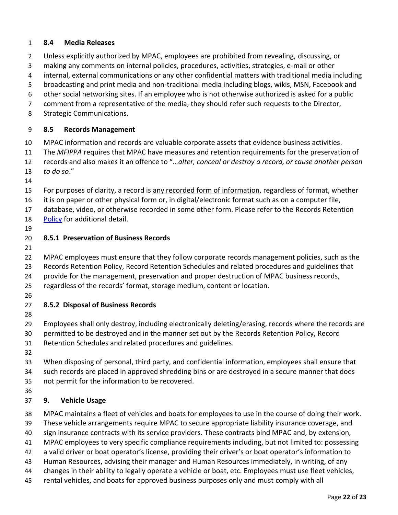# <span id="page-21-0"></span>**8.4 Media Releases**

- Unless explicitly authorized by MPAC, employees are prohibited from revealing, discussing, or
- making any comments on internal policies, procedures, activities, strategies, e-mail or other
- internal, external communications or any other confidential matters with traditional media including
- broadcasting and print media and non-traditional media including blogs, wikis, MSN, Facebook and
- other social networking sites. If an employee who is not otherwise authorized is asked for a public
- comment from a representative of the media, they should refer such requests to the Director,
- Strategic Communications.

# <span id="page-21-1"></span>**8.5 Records Management**

- MPAC information and records are valuable corporate assets that evidence business activities.
- The *MFIPPA* requires that MPAC have measures and retention requirements for the preservation of
- records and also makes it an offence to "…*alter, conceal or destroy a record, or cause another person*
- *to do so*."
- 
- For purposes of clarity, a record is any recorded form of information, regardless of format, whether
- it is on paper or other physical form or, in digital/electronic format such as on a computer file,
- database, video, or otherwise recorded in some other form. Please refer to the Records Retention
- Policy for additional detail.
- 

# **8.5.1 Preservation of Business Records**

- 
- MPAC employees must ensure that they follow corporate records management policies, such as the
- Records Retention Policy, Record Retention Schedules and related procedures and guidelines that
- provide for the management, preservation and proper destruction of MPAC business records,
- regardless of the records' format, storage medium, content or location.
- 

# **8.5.2 Disposal of Business Records**

- 
- Employees shall only destroy, including electronically deleting/erasing, records where the records are
- permitted to be destroyed and in the manner set out by the Records Retention Policy, Record
- Retention Schedules and related procedures and guidelines.
- 
- When disposing of personal, third party, and confidential information, employees shall ensure that such records are placed in approved shredding bins or are destroyed in a secure manner that does
- not permit for the information to be recovered.
- 

# <span id="page-21-2"></span>**9. Vehicle Usage**

- MPAC maintains a fleet of vehicles and boats for employees to use in the course of doing their work.
- These vehicle arrangements require MPAC to secure appropriate liability insurance coverage, and
- sign insurance contracts with its service providers. These contracts bind MPAC and, by extension,
- MPAC employees to very specific compliance requirements including, but not limited to: possessing
- a valid driver or boat operator's license, providing their driver's or boat operator's information to
- Human Resources, advising their manager and Human Resources immediately, in writing, of any
- changes in their ability to legally operate a vehicle or boat, etc. Employees must use fleet vehicles,
- rental vehicles, and boats for approved business purposes only and must comply with all